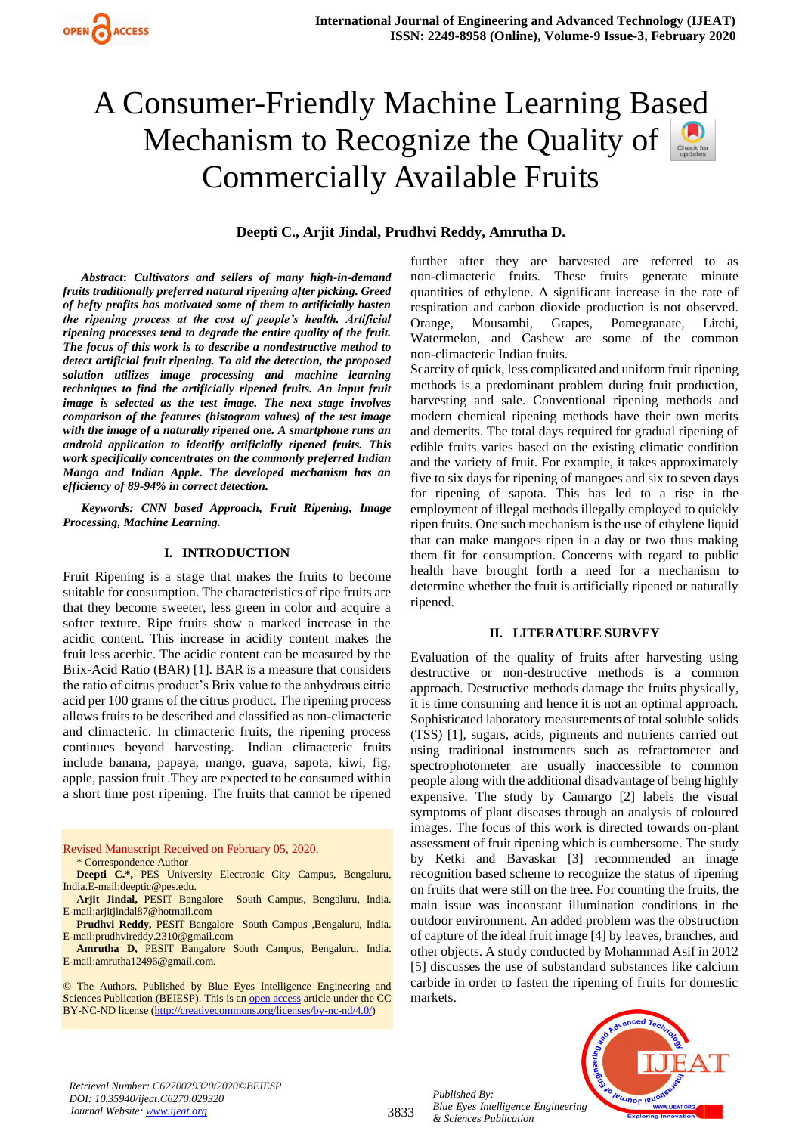

# A Consumer-Friendly Machine Learning Ba[sed](https://crossmark.crossref.org/dialog/?doi=10.35940/ijeat.C6270.029320&domain=www.ijeat.org)  Mechanism to Recognize the Quality of Commercially Available Fruits

### **Deepti C., Arjit Jindal, Prudhvi Reddy, Amrutha D.**

*Abstract***:** *Cultivators and sellers of many high-in-demand fruits traditionally preferred natural ripening after picking. Greed of hefty profits has motivated some of them to artificially hasten the ripening process at the cost of people's health. Artificial ripening processes tend to degrade the entire quality of the fruit. The focus of this work is to describe a nondestructive method to detect artificial fruit ripening. To aid the detection, the proposed solution utilizes image processing and machine learning techniques to find the artificially ripened fruits. An input fruit image is selected as the test image. The next stage involves comparison of the features (histogram values) of the test image with the image of a naturally ripened one. A smartphone runs an android application to identify artificially ripened fruits. This work specifically concentrates on the commonly preferred Indian Mango and Indian Apple. The developed mechanism has an efficiency of 89-94% in correct detection.*

*Keywords: CNN based Approach, Fruit Ripening, Image Processing, Machine Learning.*

### **I. INTRODUCTION**

Fruit Ripening is a stage that makes the fruits to become suitable for consumption. The characteristics of ripe fruits are that they become sweeter, less green in color and acquire a softer texture. Ripe fruits show a marked increase in the acidic content. This increase in acidity content makes the fruit less acerbic. The acidic content can be measured by the Brix-Acid Ratio (BAR) [1]. BAR is a measure that considers the ratio of citrus product's Brix value to the anhydrous citric acid per 100 grams of the citrus product. The ripening process allows fruits to be described and classified as non-climacteric and climacteric. In climacteric fruits, the ripening process continues beyond harvesting. Indian climacteric fruits include banana, papaya, mango, guava, sapota, kiwi, fig, apple, passion fruit .They are expected to be consumed within a short time post ripening. The fruits that cannot be ripened

### Revised Manuscript Received on February 05, 2020. \* Correspondence Author

**Deepti C.\*,** PES University Electronic City Campus, Bengaluru, India.E-mail:deeptic@pes.edu.

**Arjit Jindal,** PESIT Bangalore South Campus, Bengaluru, India. E-mail:ariitiindal87@hotmail.com

**Prudhvi Reddy,** PESIT Bangalore South Campus ,Bengaluru, India. E-mail:prudhvireddy.2310@gmail.com

**Amrutha D,** PESIT Bangalore South Campus, Bengaluru, India. E-mail:amrutha12496@gmail.com.

© The Authors. Published by Blue Eyes Intelligence Engineering and Sciences Publication (BEIESP). This is a[n open access](https://www.openaccess.nl/en/open-publications) article under the CC BY-NC-ND license [\(http://creativecommons.org/licenses/by-nc-nd/4.0/\)](http://creativecommons.org/licenses/by-nc-nd/4.0/)

further after they are harvested are referred to as non-climacteric fruits. These fruits generate minute quantities of ethylene. A significant increase in the rate of respiration and carbon dioxide production is not observed. Orange, Mousambi, Grapes, Pomegranate, Litchi, Watermelon, and Cashew are some of the common non-climacteric Indian fruits.

Scarcity of quick, less complicated and uniform fruit ripening methods is a predominant problem during fruit production, harvesting and sale. Conventional ripening methods and modern chemical ripening methods have their own merits and demerits. The total days required for gradual ripening of edible fruits varies based on the existing climatic condition and the variety of fruit. For example, it takes approximately five to six days for ripening of mangoes and six to seven days for ripening of sapota. This has led to a rise in the employment of illegal methods illegally employed to quickly ripen fruits. One such mechanism is the use of ethylene liquid that can make mangoes ripen in a day or two thus making them fit for consumption. Concerns with regard to public health have brought forth a need for a mechanism to determine whether the fruit is artificially ripened or naturally ripened.

### **II. LITERATURE SURVEY**

Evaluation of the quality of fruits after harvesting using destructive or non-destructive methods is a common approach. Destructive methods damage the fruits physically, it is time consuming and hence it is not an optimal approach. Sophisticated laboratory measurements of total soluble solids (TSS) [1], sugars, acids, pigments and nutrients carried out using traditional instruments such as refractometer and spectrophotometer are usually inaccessible to common people along with the additional disadvantage of being highly expensive. The study by Camargo [2] labels the visual symptoms of plant diseases through an analysis of coloured images. The focus of this work is directed towards on-plant assessment of fruit ripening which is cumbersome. The study by Ketki and Bavaskar [3] recommended an image recognition based scheme to recognize the status of ripening on fruits that were still on the tree. For counting the fruits, the main issue was inconstant illumination conditions in the outdoor environment. An added problem was the obstruction of capture of the ideal fruit image [4] by leaves, branches, and other objects. A study conducted by Mohammad Asif in 2012 [5] discusses the use of substandard substances like calcium carbide in order to fasten the ripening of fruits for domestic markets.



*Retrieval Number: C6270029320/2020©BEIESP DOI: 10.35940/ijeat.C6270.029320 Journal Website[: www.ijeat.org](http://www.ijeat.org/)*

3833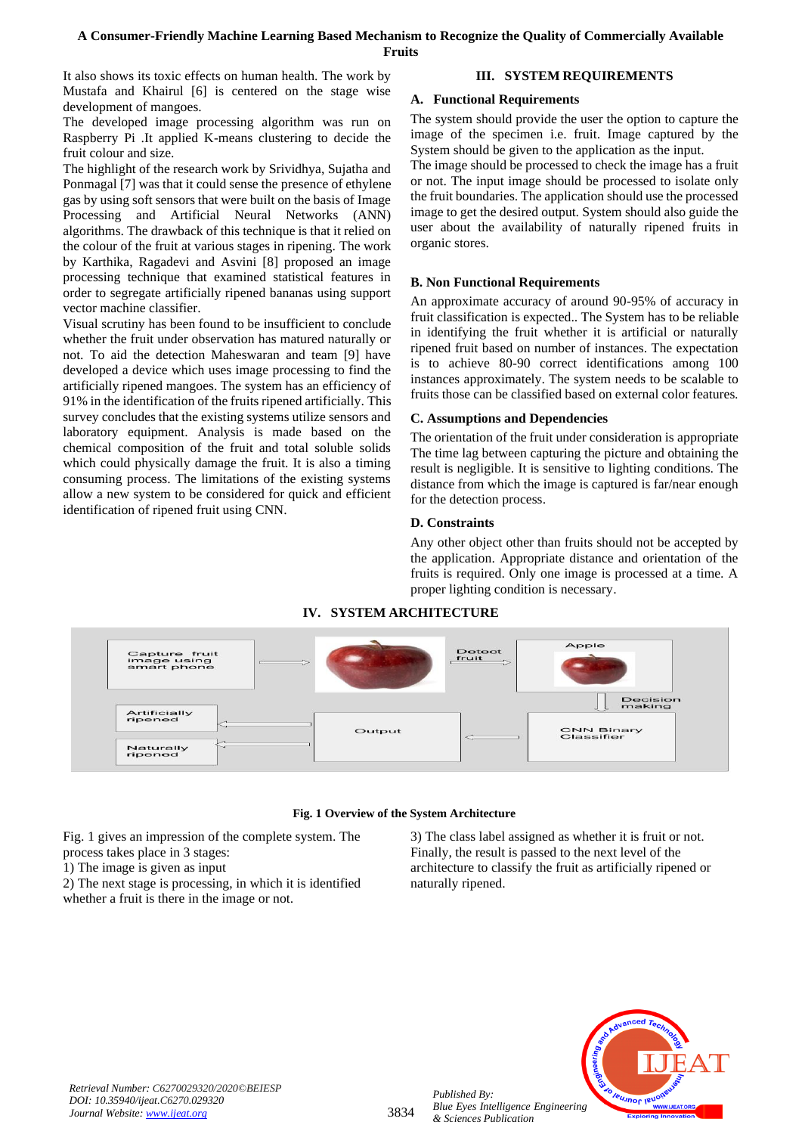### **A Consumer-Friendly Machine Learning Based Mechanism to Recognize the Quality of Commercially Available Fruits**

It also shows its toxic effects on human health. The work by Mustafa and Khairul [6] is centered on the stage wise development of mangoes.

### **III. SYSTEM REQUIREMENTS**

### **A. Functional Requirements**

The developed image processing algorithm was run on Raspberry Pi .It applied K-means clustering to decide the fruit colour and size.

The highlight of the research work by Srividhya, Sujatha and Ponmagal [7] was that it could sense the presence of ethylene gas by using soft sensors that were built on the basis of Image Processing and Artificial Neural Networks (ANN) algorithms. The drawback of this technique is that it relied on the colour of the fruit at various stages in ripening. The work by Karthika, Ragadevi and Asvini [8] proposed an image processing technique that examined statistical features in order to segregate artificially ripened bananas using support vector machine classifier.

Visual scrutiny has been found to be insufficient to conclude whether the fruit under observation has matured naturally or not. To aid the detection Maheswaran and team [9] have developed a device which uses image processing to find the artificially ripened mangoes. The system has an efficiency of 91% in the identification of the fruits ripened artificially. This survey concludes that the existing systems utilize sensors and laboratory equipment. Analysis is made based on the chemical composition of the fruit and total soluble solids which could physically damage the fruit. It is also a timing consuming process. The limitations of the existing systems allow a new system to be considered for quick and efficient identification of ripened fruit using CNN.

The system should provide the user the option to capture the image of the specimen i.e. fruit. Image captured by the System should be given to the application as the input.

The image should be processed to check the image has a fruit or not. The input image should be processed to isolate only the fruit boundaries. The application should use the processed image to get the desired output. System should also guide the user about the availability of naturally ripened fruits in organic stores.

### **B. Non Functional Requirements**

An approximate accuracy of around 90-95% of accuracy in fruit classification is expected.. The System has to be reliable in identifying the fruit whether it is artificial or naturally ripened fruit based on number of instances. The expectation is to achieve 80-90 correct identifications among 100 instances approximately. The system needs to be scalable to fruits those can be classified based on external color features.

### **C. Assumptions and Dependencies**

The orientation of the fruit under consideration is appropriate The time lag between capturing the picture and obtaining the result is negligible. It is sensitive to lighting conditions. The distance from which the image is captured is far/near enough for the detection process.

### **D. Constraints**

Any other object other than fruits should not be accepted by the application. Appropriate distance and orientation of the fruits is required. Only one image is processed at a time. A proper lighting condition is necessary.

### **IV. SYSTEM ARCHITECTURE**



### **Fig. 1 Overview of the System Architecture**

Fig. 1 gives an impression of the complete system. The process takes place in 3 stages:

1) The image is given as input

2) The next stage is processing, in which it is identified whether a fruit is there in the image or not.

3) The class label assigned as whether it is fruit or not. Finally, the result is passed to the next level of the architecture to classify the fruit as artificially ripened or naturally ripened.



*Retrieval Number: C6270029320/2020©BEIESP DOI: 10.35940/ijeat.C6270.029320 Journal Website[: www.ijeat.org](http://www.ijeat.org/)*

*Published By:*

*& Sciences Publication*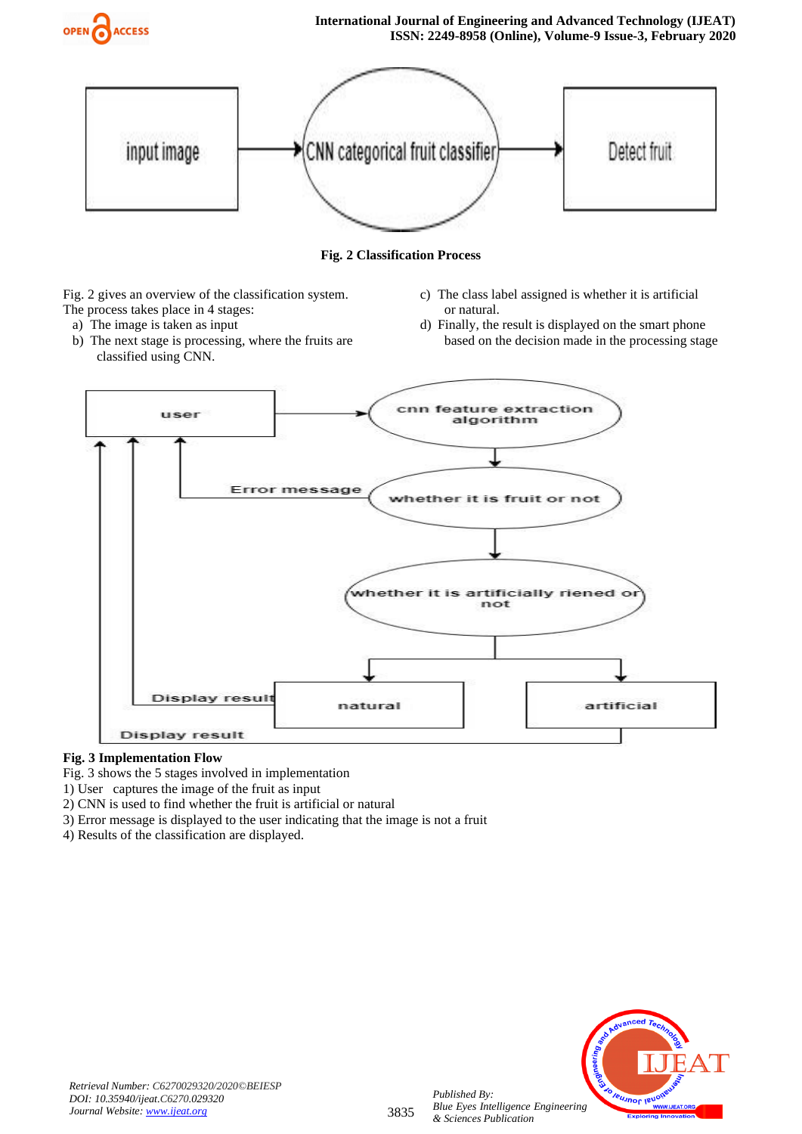

**Fig. 2 Classification Process**

Fig. 2 gives an overview of the classification system.

- The process takes place in 4 stages:
- a) The image is taken as input
- b) The next stage is processing, where the fruits are classified using CNN.
- c) The class label assigned is whether it is artificial or natural.
- d) Finally, the result is displayed on the smart phone based on the decision made in the processing stage



## **Fig. 3 Implementation Flow**

Fig. 3 shows the 5 stages involved in implementation

- 1) User captures the image of the fruit as input
- 2) CNN is used to find whether the fruit is artificial or natural
- 3) Error message is displayed to the user indicating that the image is not a fruit
- 4) Results of the classification are displayed.



*Retrieval Number: C6270029320/2020©BEIESP DOI: 10.35940/ijeat.C6270.029320 Journal Website[: www.ijeat.org](http://www.ijeat.org/)*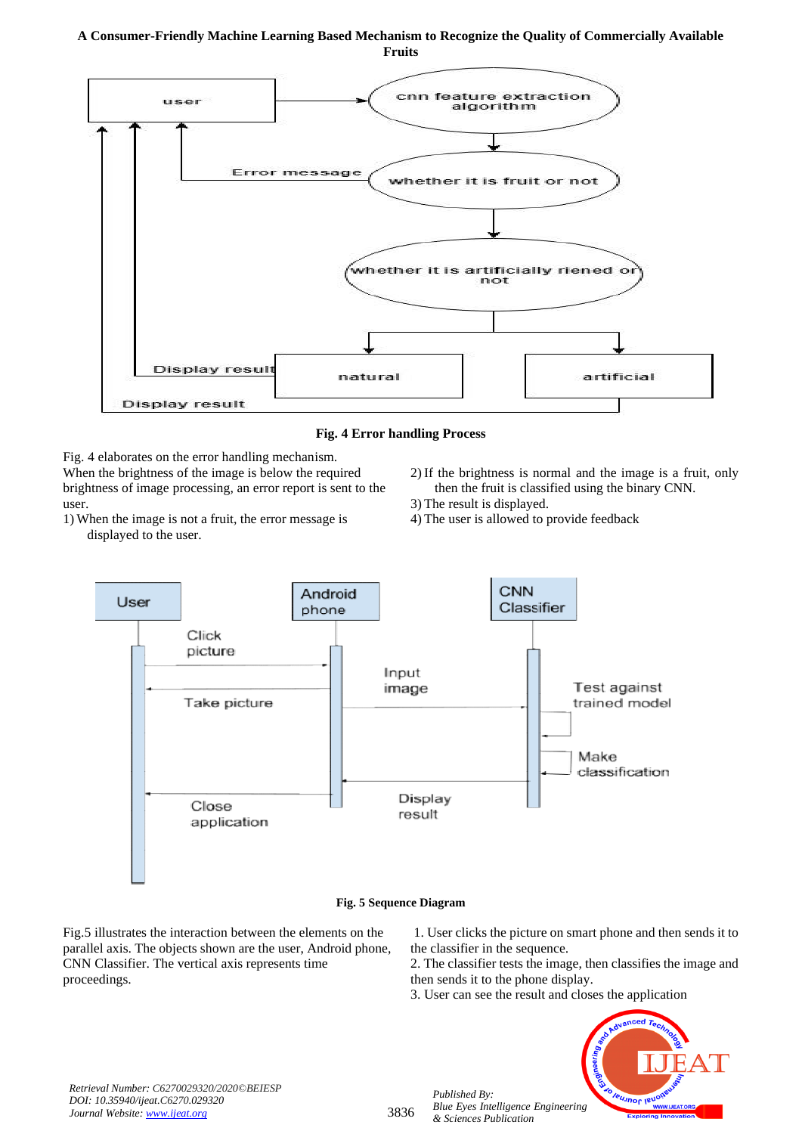### **A Consumer-Friendly Machine Learning Based Mechanism to Recognize the Quality of Commercially Available Fruits**



**Fig. 4 Error handling Process**

Fig. 4 elaborates on the error handling mechanism. When the brightness of the image is below the required

brightness of image processing, an error report is sent to the user.

- 1) When the image is not a fruit, the error message is displayed to the user.
- 2) If the brightness is normal and the image is a fruit, only then the fruit is classified using the binary CNN.
- 3) The result is displayed.
- 4) The user is allowed to provide feedback



### **Fig. 5 Sequence Diagram**

Fig.5 illustrates the interaction between the elements on the parallel axis. The objects shown are the user, Android phone, CNN Classifier. The vertical axis represents time proceedings.

1. User clicks the picture on smart phone and then sends it to the classifier in the sequence.

2. The classifier tests the image, then classifies the image and then sends it to the phone display.

3. User can see the result and closes the application



*Retrieval Number: C6270029320/2020©BEIESP DOI: 10.35940/ijeat.C6270.029320 Journal Website[: www.ijeat.org](http://www.ijeat.org/)*

3836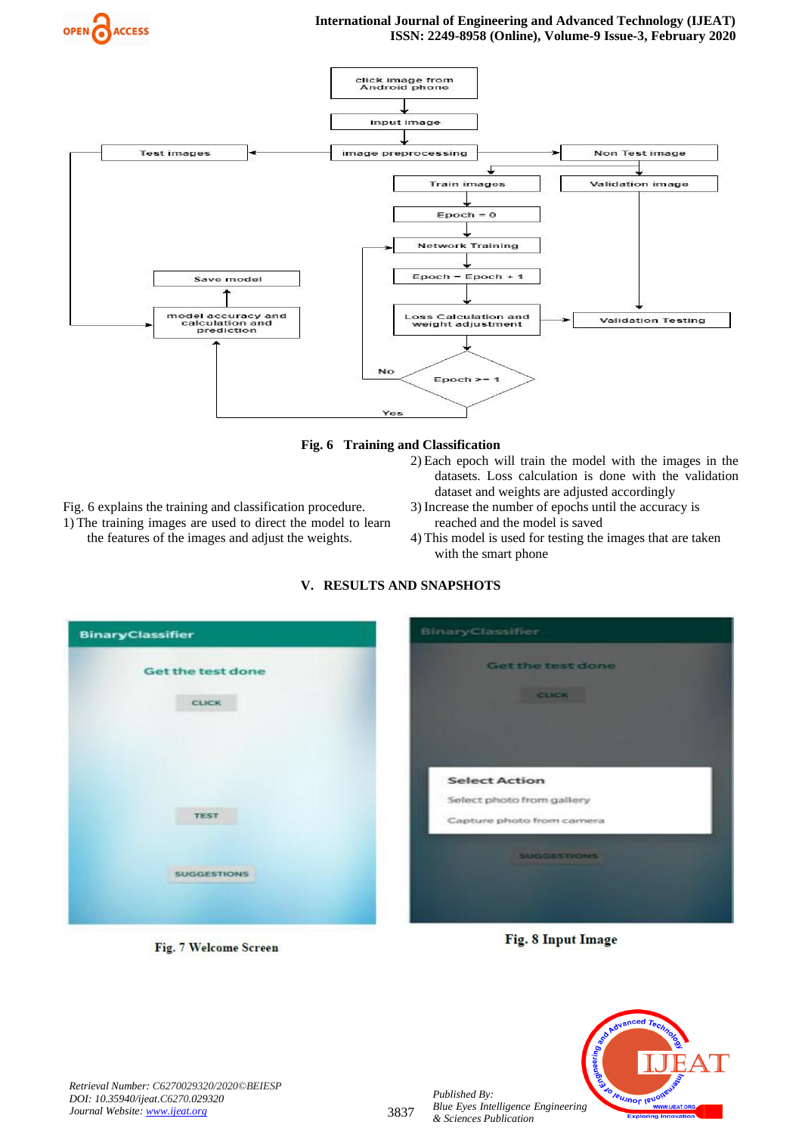

### **International Journal of Engineering and Advanced Technology (IJEAT) ISSN: 2249-8958 (Online), Volume-9 Issue-3, February 2020**



### **Fig. 6 Training and Classification**

- 2) Each epoch will train the model with the images in the datasets. Loss calculation is done with the validation dataset and weights are adjusted accordingly
- 3) Increase the number of epochs until the accuracy is reached and the model is saved
- 4) This model is used for testing the images that are taken with the smart phone



### **V. RESULTS AND SNAPSHOTS**

### Fig. 8 Input Image



*Retrieval Number: C6270029320/2020©BEIESP DOI: 10.35940/ijeat.C6270.029320 Journal Website[: www.ijeat.org](http://www.ijeat.org/)*

Fig. 7 Welcome Screen

Fig. 6 explains the training and classification procedure. 1) The training images are used to direct the model to learn the features of the images and adjust the weights.

3837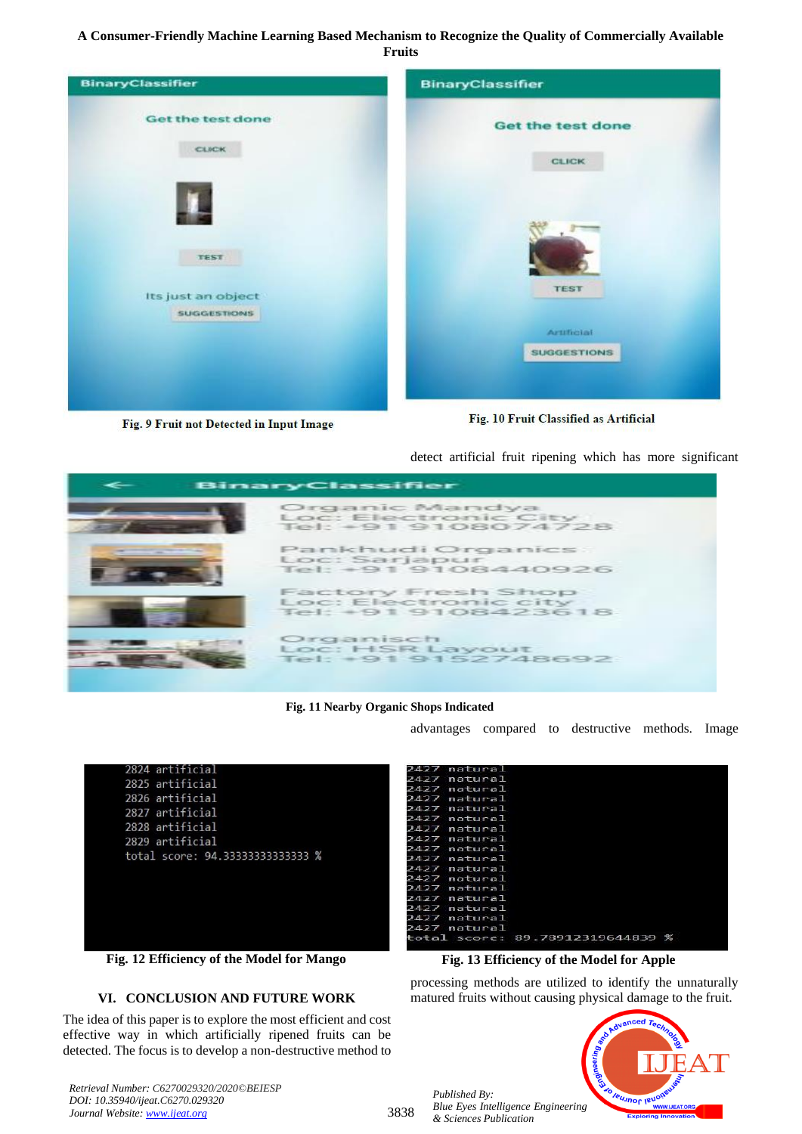**A Consumer-Friendly Machine Learning Based Mechanism to Recognize the Quality of Commercially Available Fruits**



Fig. 9 Fruit not Detected in Input Image

Fig. 10 Fruit Classified as Artificial

detect artificial fruit ripening which has more significant



**Fig. 11 Nearby Organic Shops Indicated**

3838

advantages compared to destructive methods. Image



**Fig. 12 Efficiency of the Model for Mango**

### **VI. CONCLUSION AND FUTURE WORK**

The idea of this paper is to explore the most efficient and cost effective way in which artificially ripened fruits can be detected. The focus is to develop a non-destructive method to

*Journal Website[: www.ijeat.org](http://www.ijeat.org/)*

*Retrieval Number: C6270029320/2020©BEIESP DOI: 10.35940/ijeat.C6270.029320*



 **Fig. 13 Efficiency of the Model for Apple**

processing methods are utilized to identify the unnaturally matured fruits without causing physical damage to the fruit.